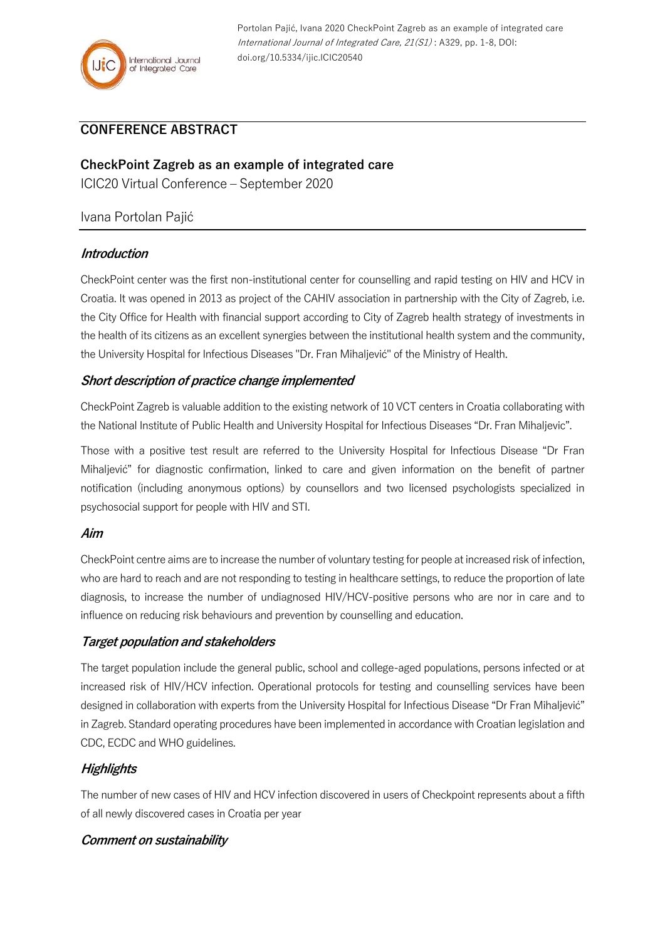

Portolan Pajić, Ivana 2020 CheckPoint Zagreb as an example of integrated care International Journal of Integrated Care, 21(S1) : A329, pp. 1-8, DOI: doi.org/10.5334/ijic.ICIC20540

# **CONFERENCE ABSTRACT**

**CheckPoint Zagreb as an example of integrated care** ICIC20 Virtual Conference – September 2020

# Ivana Portolan Pajić

#### **Introduction**

CheckPoint center was the first non-institutional center for counselling and rapid testing on HIV and HCV in Croatia. It was opened in 2013 as project of the CAHIV association in partnership with the City of Zagreb, i.e. the City Office for Health with financial support according to City of Zagreb health strategy of investments in the health of its citizens as an excellent synergies between the institutional health system and the community, the University Hospital for Infectious Diseases "Dr. Fran Mihaljević" of the Ministry of Health.

#### **Short description of practice change implemented**

CheckPoint Zagreb is valuable addition to the existing network of 10 VCT centers in Croatia collaborating with the National Institute of Public Health and University Hospital for Infectious Diseases "Dr. Fran Mihaljevic".

Those with a positive test result are referred to the University Hospital for Infectious Disease "Dr Fran Mihaljević" for diagnostic confirmation, linked to care and given information on the benefit of partner notification (including anonymous options) by counsellors and two licensed psychologists specialized in psychosocial support for people with HIV and STI.

#### **Aim**

CheckPoint centre aims are to increase the number of voluntary testing for people at increased risk of infection, who are hard to reach and are not responding to testing in healthcare settings, to reduce the proportion of late diagnosis, to increase the number of undiagnosed HIV/HCV-positive persons who are nor in care and to influence on reducing risk behaviours and prevention by counselling and education.

# **Target population and stakeholders**

The target population include the general public, school and college-aged populations, persons infected or at increased risk of HIV/HCV infection. Operational protocols for testing and counselling services have been designed in collaboration with experts from the University Hospital for Infectious Disease "Dr Fran Mihaljević" in Zagreb. Standard operating procedures have been implemented in accordance with Croatian legislation and CDC, ECDC and WHO guidelines.

# **Highlights**

The number of new cases of HIV and HCV infection discovered in users of Checkpoint represents about a fifth of all newly discovered cases in Croatia per year

# **Comment on sustainability**